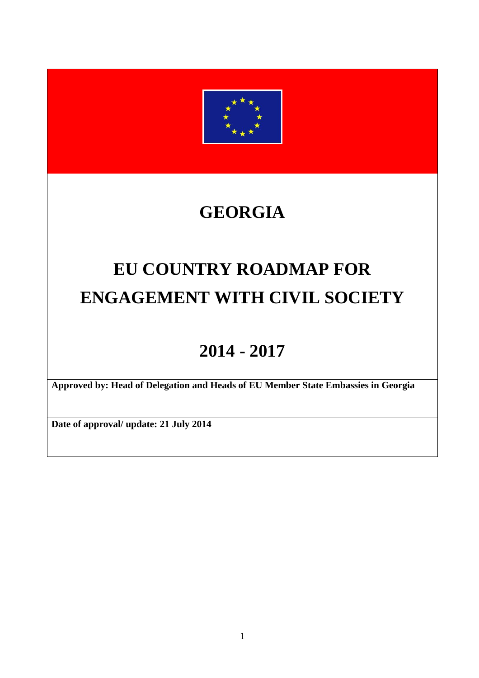

# **GEORGIA**

# **EU COUNTRY ROADMAP FOR ENGAGEMENT WITH CIVIL SOCIETY**

# **2014 - 2017**

**Approved by: Head of Delegation and Heads of EU Member State Embassies in Georgia** 

**Date of approval/ update: 21 July 2014**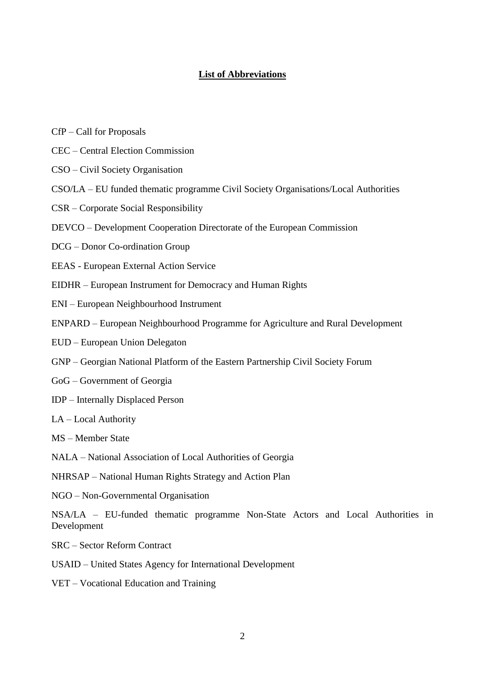#### **List of Abbreviations**

- CfP Call for Proposals
- CEC Central Election Commission
- CSO Civil Society Organisation
- CSO/LA EU funded thematic programme Civil Society Organisations/Local Authorities
- CSR Corporate Social Responsibility
- DEVCO Development Cooperation Directorate of the European Commission
- DCG Donor Co-ordination Group
- EEAS European External Action Service
- EIDHR European Instrument for Democracy and Human Rights
- ENI European Neighbourhood Instrument
- ENPARD European Neighbourhood Programme for Agriculture and Rural Development
- EUD European Union Delegaton
- GNP Georgian National Platform of the Eastern Partnership Civil Society Forum
- GoG Government of Georgia
- IDP Internally Displaced Person
- LA Local Authority
- MS Member State
- NALA National Association of Local Authorities of Georgia
- NHRSAP National Human Rights Strategy and Action Plan
- NGO Non-Governmental Organisation

NSA/LA – EU-funded thematic programme Non-State Actors and Local Authorities in Development

- SRC Sector Reform Contract
- USAID United States Agency for International Development
- VET Vocational Education and Training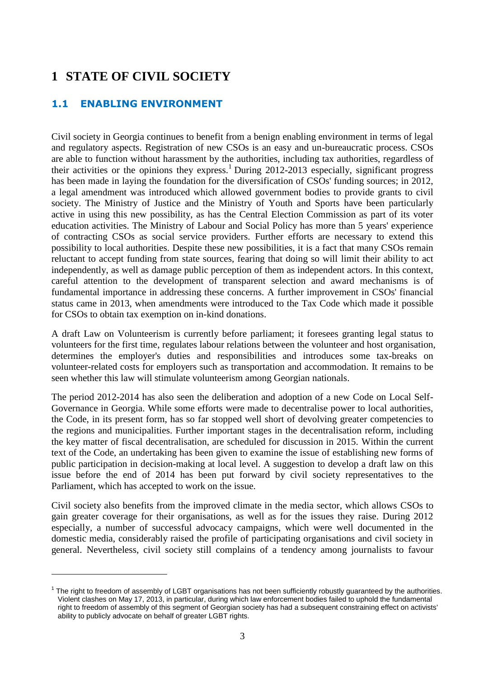# **1 STATE OF CIVIL SOCIETY**

# **1.1 ENABLING ENVIRONMENT**

 $\overline{a}$ 

Civil society in Georgia continues to benefit from a benign enabling environment in terms of legal and regulatory aspects. Registration of new CSOs is an easy and un-bureaucratic process. CSOs are able to function without harassment by the authorities, including tax authorities, regardless of their activities or the opinions they express.<sup>1</sup> During 2012-2013 especially, significant progress has been made in laying the foundation for the diversification of CSOs' funding sources; in 2012, a legal amendment was introduced which allowed government bodies to provide grants to civil society. The Ministry of Justice and the Ministry of Youth and Sports have been particularly active in using this new possibility, as has the Central Election Commission as part of its voter education activities. The Ministry of Labour and Social Policy has more than 5 years' experience of contracting CSOs as social service providers. Further efforts are necessary to extend this possibility to local authorities. Despite these new possibilities, it is a fact that many CSOs remain reluctant to accept funding from state sources, fearing that doing so will limit their ability to act independently, as well as damage public perception of them as independent actors. In this context, careful attention to the development of transparent selection and award mechanisms is of fundamental importance in addressing these concerns. A further improvement in CSOs' financial status came in 2013, when amendments were introduced to the Tax Code which made it possible for CSOs to obtain tax exemption on in-kind donations.

A draft Law on Volunteerism is currently before parliament; it foresees granting legal status to volunteers for the first time, regulates labour relations between the volunteer and host organisation, determines the employer's duties and responsibilities and introduces some tax-breaks on volunteer-related costs for employers such as transportation and accommodation. It remains to be seen whether this law will stimulate volunteerism among Georgian nationals.

The period 2012-2014 has also seen the deliberation and adoption of a new Code on Local Self-Governance in Georgia. While some efforts were made to decentralise power to local authorities, the Code, in its present form, has so far stopped well short of devolving greater competencies to the regions and municipalities. Further important stages in the decentralisation reform, including the key matter of fiscal decentralisation, are scheduled for discussion in 2015. Within the current text of the Code, an undertaking has been given to examine the issue of establishing new forms of public participation in decision-making at local level. A suggestion to develop a draft law on this issue before the end of 2014 has been put forward by civil society representatives to the Parliament, which has accepted to work on the issue.

Civil society also benefits from the improved climate in the media sector, which allows CSOs to gain greater coverage for their organisations, as well as for the issues they raise. During 2012 especially, a number of successful advocacy campaigns, which were well documented in the domestic media, considerably raised the profile of participating organisations and civil society in general. Nevertheless, civil society still complains of a tendency among journalists to favour

<sup>1</sup> The right to freedom of assembly of LGBT organisations has not been sufficiently robustly guaranteed by the authorities. Violent clashes on May 17, 2013, in particular, during which law enforcement bodies failed to uphold the fundamental right to freedom of assembly of this segment of Georgian society has had a subsequent constraining effect on activists' ability to publicly advocate on behalf of greater LGBT rights.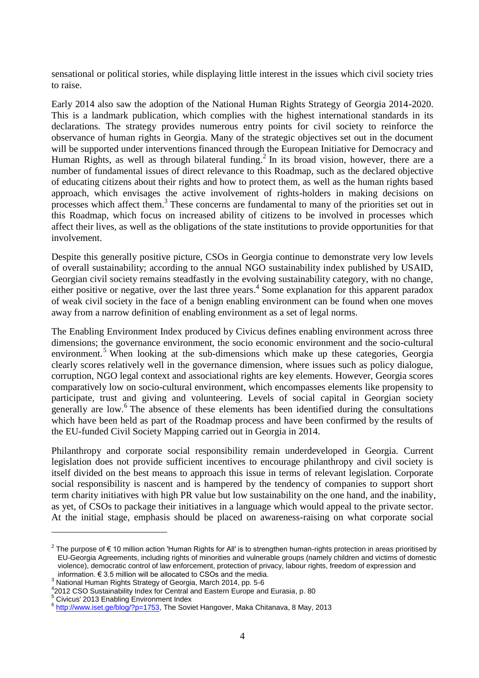sensational or political stories, while displaying little interest in the issues which civil society tries to raise.

Early 2014 also saw the adoption of the National Human Rights Strategy of Georgia 2014-2020. This is a landmark publication, which complies with the highest international standards in its declarations. The strategy provides numerous entry points for civil society to reinforce the observance of human rights in Georgia. Many of the strategic objectives set out in the document will be supported under interventions financed through the European Initiative for Democracy and Human Rights, as well as through bilateral funding.<sup>2</sup> In its broad vision, however, there are a number of fundamental issues of direct relevance to this Roadmap, such as the declared objective of educating citizens about their rights and how to protect them, as well as the human rights based approach, which envisages the active involvement of rights-holders in making decisions on processes which affect them.<sup>3</sup> These concerns are fundamental to many of the priorities set out in this Roadmap, which focus on increased ability of citizens to be involved in processes which affect their lives, as well as the obligations of the state institutions to provide opportunities for that involvement.

Despite this generally positive picture, CSOs in Georgia continue to demonstrate very low levels of overall sustainability; according to the annual NGO sustainability index published by USAID, Georgian civil society remains steadfastly in the evolving sustainability category, with no change, either positive or negative, over the last three years.<sup>4</sup> Some explanation for this apparent paradox of weak civil society in the face of a benign enabling environment can be found when one moves away from a narrow definition of enabling environment as a set of legal norms.

The Enabling Environment Index produced by Civicus defines enabling environment across three dimensions; the governance environment, the socio economic environment and the socio-cultural environment.<sup>5</sup> When looking at the sub-dimensions which make up these categories, Georgia clearly scores relatively well in the governance dimension, where issues such as policy dialogue, corruption, NGO legal context and associational rights are key elements. However, Georgia scores comparatively low on socio-cultural environment, which encompasses elements like propensity to participate, trust and giving and volunteering. Levels of social capital in Georgian society generally are low. 6 The absence of these elements has been identified during the consultations which have been held as part of the Roadmap process and have been confirmed by the results of the EU-funded Civil Society Mapping carried out in Georgia in 2014.

Philanthropy and corporate social responsibility remain underdeveloped in Georgia. Current legislation does not provide sufficient incentives to encourage philanthropy and civil society is itself divided on the best means to approach this issue in terms of relevant legislation. Corporate social responsibility is nascent and is hampered by the tendency of companies to support short term charity initiatives with high PR value but low sustainability on the one hand, and the inability, as yet, of CSOs to package their initiatives in a language which would appeal to the private sector. At the initial stage, emphasis should be placed on awareness-raising on what corporate social

<sup>&</sup>lt;sup>2</sup> The purpose of € 10 million action 'Human Rights for All' is to strengthen human-rights protection in areas prioritised by EU-Georgia Agreements, including rights of minorities and vulnerable groups (namely children and victims of domestic violence), democratic control of law enforcement, protection of privacy, labour rights, freedom of expression and information. € 3.5 million will be allocated to CSOs and the media.

<sup>3</sup> National Human Rights Strategy of Georgia, March 2014, pp. 5-6

<sup>4</sup> 2012 CSO Sustainability Index for Central and Eastern Europe and Eurasia, p. 80

<sup>5</sup> Civicus' 2013 Enabling Environment Index

<sup>&</sup>lt;sup>6</sup> [http://www.iset.ge/blog/?p=1753,](http://www.iset.ge/blog/?p=1753) The Soviet Hangover, Maka Chitanava, 8 May, 2013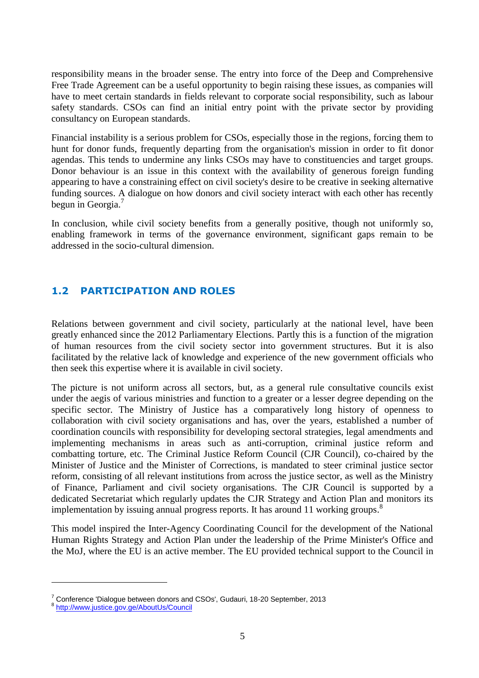responsibility means in the broader sense. The entry into force of the Deep and Comprehensive Free Trade Agreement can be a useful opportunity to begin raising these issues, as companies will have to meet certain standards in fields relevant to corporate social responsibility, such as labour safety standards. CSOs can find an initial entry point with the private sector by providing consultancy on European standards.

Financial instability is a serious problem for CSOs, especially those in the regions, forcing them to hunt for donor funds, frequently departing from the organisation's mission in order to fit donor agendas. This tends to undermine any links CSOs may have to constituencies and target groups. Donor behaviour is an issue in this context with the availability of generous foreign funding appearing to have a constraining effect on civil society's desire to be creative in seeking alternative funding sources. A dialogue on how donors and civil society interact with each other has recently begun in Georgia.<sup>7</sup>

In conclusion, while civil society benefits from a generally positive, though not uniformly so, enabling framework in terms of the governance environment, significant gaps remain to be addressed in the socio-cultural dimension.

# **1.2 PARTICIPATION AND ROLES**

Relations between government and civil society, particularly at the national level, have been greatly enhanced since the 2012 Parliamentary Elections. Partly this is a function of the migration of human resources from the civil society sector into government structures. But it is also facilitated by the relative lack of knowledge and experience of the new government officials who then seek this expertise where it is available in civil society.

The picture is not uniform across all sectors, but, as a general rule consultative councils exist under the aegis of various ministries and function to a greater or a lesser degree depending on the specific sector. The Ministry of Justice has a comparatively long history of openness to collaboration with civil society organisations and has, over the years, established a number of coordination councils with responsibility for developing sectoral strategies, legal amendments and implementing mechanisms in areas such as anti-corruption, criminal justice reform and combatting torture, etc. The Criminal Justice Reform Council (CJR Council), co-chaired by the Minister of Justice and the Minister of Corrections, is mandated to steer criminal justice sector reform, consisting of all relevant institutions from across the justice sector, as well as the Ministry of Finance, Parliament and civil society organisations. The CJR Council is supported by a dedicated Secretariat which regularly updates the CJR Strategy and Action Plan and monitors its implementation by issuing annual progress reports. It has around 11 working groups. 8

This model inspired the Inter-Agency Coordinating Council for the development of the National Human Rights Strategy and Action Plan under the leadership of the Prime Minister's Office and the MoJ, where the EU is an active member. The EU provided technical support to the Council in

 $7$  Conference 'Dialogue between donors and CSOs', Gudauri, 18-20 September, 2013

<sup>8</sup> <http://www.justice.gov.ge/AboutUs/Council>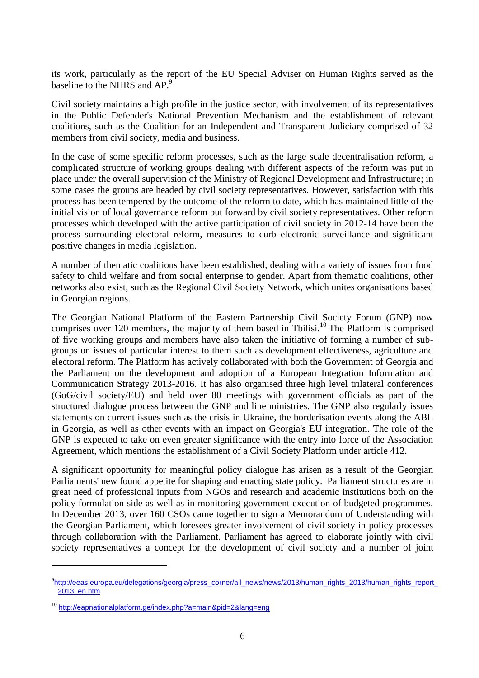its work, particularly as the report of the EU Special Adviser on Human Rights served as the baseline to the NHRS and AP.<sup>9</sup>

Civil society maintains a high profile in the justice sector, with involvement of its representatives in the Public Defender's National Prevention Mechanism and the establishment of relevant coalitions, such as the Coalition for an Independent and Transparent Judiciary comprised of 32 members from civil society, media and business.

In the case of some specific reform processes, such as the large scale decentralisation reform, a complicated structure of working groups dealing with different aspects of the reform was put in place under the overall supervision of the Ministry of Regional Development and Infrastructure; in some cases the groups are headed by civil society representatives. However, satisfaction with this process has been tempered by the outcome of the reform to date, which has maintained little of the initial vision of local governance reform put forward by civil society representatives. Other reform processes which developed with the active participation of civil society in 2012-14 have been the process surrounding electoral reform, measures to curb electronic surveillance and significant positive changes in media legislation.

A number of thematic coalitions have been established, dealing with a variety of issues from food safety to child welfare and from social enterprise to gender. Apart from thematic coalitions, other networks also exist, such as the Regional Civil Society Network, which unites organisations based in Georgian regions.

The Georgian National Platform of the Eastern Partnership Civil Society Forum (GNP) now comprises over 120 members, the majority of them based in Tbilisi.<sup>10</sup> The Platform is comprised of five working groups and members have also taken the initiative of forming a number of subgroups on issues of particular interest to them such as development effectiveness, agriculture and electoral reform. The Platform has actively collaborated with both the Government of Georgia and the Parliament on the development and adoption of a European Integration Information and Communication Strategy 2013-2016. It has also organised three high level trilateral conferences (GoG/civil society/EU) and held over 80 meetings with government officials as part of the structured dialogue process between the GNP and line ministries. The GNP also regularly issues statements on current issues such as the crisis in Ukraine, the borderisation events along the ABL in Georgia, as well as other events with an impact on Georgia's EU integration. The role of the GNP is expected to take on even greater significance with the entry into force of the Association Agreement, which mentions the establishment of a Civil Society Platform under article 412.

A significant opportunity for meaningful policy dialogue has arisen as a result of the Georgian Parliaments' new found appetite for shaping and enacting state policy. Parliament structures are in great need of professional inputs from NGOs and research and academic institutions both on the policy formulation side as well as in monitoring government execution of budgeted programmes. In December 2013, over 160 CSOs came together to sign a Memorandum of Understanding with the Georgian Parliament, which foresees greater involvement of civil society in policy processes through collaboration with the Parliament. Parliament has agreed to elaborate jointly with civil society representatives a concept for the development of civil society and a number of joint

<sup>9</sup> [http://eeas.europa.eu/delegations/georgia/press\\_corner/all\\_news/news/2013/human\\_rights\\_2013/human\\_rights\\_report\\_](http://eeas.europa.eu/delegations/georgia/press_corner/all_news/news/2013/human_rights_2013/human_rights_report_2013_en.htm) [2013\\_en.htm](http://eeas.europa.eu/delegations/georgia/press_corner/all_news/news/2013/human_rights_2013/human_rights_report_2013_en.htm)

<sup>10</sup> <http://eapnationalplatform.ge/index.php?a=main&pid=2&lang=eng>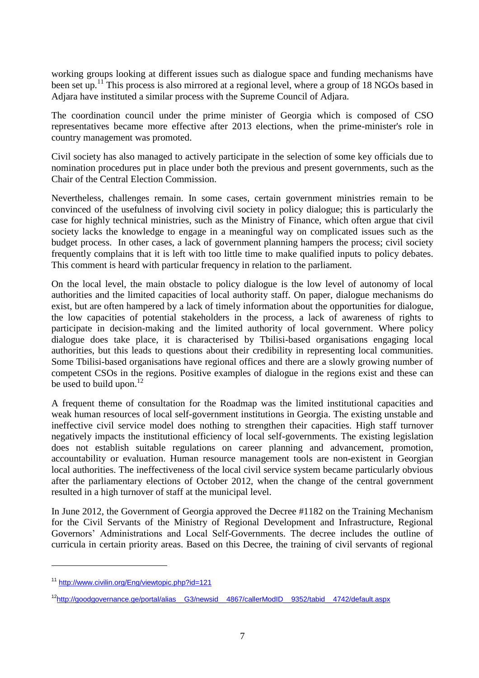working groups looking at different issues such as dialogue space and funding mechanisms have been set up.<sup>11</sup> This process is also mirrored at a regional level, where a group of 18 NGOs based in Adjara have instituted a similar process with the Supreme Council of Adjara.

The coordination council under the prime minister of Georgia which is composed of CSO representatives became more effective after 2013 elections, when the prime-minister's role in country management was promoted.

Civil society has also managed to actively participate in the selection of some key officials due to nomination procedures put in place under both the previous and present governments, such as the Chair of the Central Election Commission.

Nevertheless, challenges remain. In some cases, certain government ministries remain to be convinced of the usefulness of involving civil society in policy dialogue; this is particularly the case for highly technical ministries, such as the Ministry of Finance, which often argue that civil society lacks the knowledge to engage in a meaningful way on complicated issues such as the budget process. In other cases, a lack of government planning hampers the process; civil society frequently complains that it is left with too little time to make qualified inputs to policy debates. This comment is heard with particular frequency in relation to the parliament.

On the local level, the main obstacle to policy dialogue is the low level of autonomy of local authorities and the limited capacities of local authority staff. On paper, dialogue mechanisms do exist, but are often hampered by a lack of timely information about the opportunities for dialogue, the low capacities of potential stakeholders in the process, a lack of awareness of rights to participate in decision-making and the limited authority of local government. Where policy dialogue does take place, it is characterised by Tbilisi-based organisations engaging local authorities, but this leads to questions about their credibility in representing local communities. Some Tbilisi-based organisations have regional offices and there are a slowly growing number of competent CSOs in the regions. Positive examples of dialogue in the regions exist and these can be used to build upon.<sup>12</sup>

A frequent theme of consultation for the Roadmap was the limited institutional capacities and weak human resources of local self-government institutions in Georgia. The existing unstable and ineffective civil service model does nothing to strengthen their capacities. High staff turnover negatively impacts the institutional efficiency of local self-governments. The existing legislation does not establish suitable regulations on career planning and advancement, promotion, accountability or evaluation. Human resource management tools are non-existent in Georgian local authorities. The ineffectiveness of the local civil service system became particularly obvious after the parliamentary elections of October 2012, when the change of the central government resulted in a high turnover of staff at the municipal level.

In June 2012, the Government of Georgia approved the Decree #1182 on the Training Mechanism for the Civil Servants of the Ministry of Regional Development and Infrastructure, Regional Governors' Administrations and Local Self-Governments. The decree includes the outline of curricula in certain priority areas. Based on this Decree, the training of civil servants of regional

<sup>11</sup> <http://www.civilin.org/Eng/viewtopic.php?id=121>

<sup>&</sup>lt;sup>12</sup>http://goodgovernance.ge/portal/alias\_G3/newsid\_4867/callerModID\_9352/tabid\_4742/default.aspx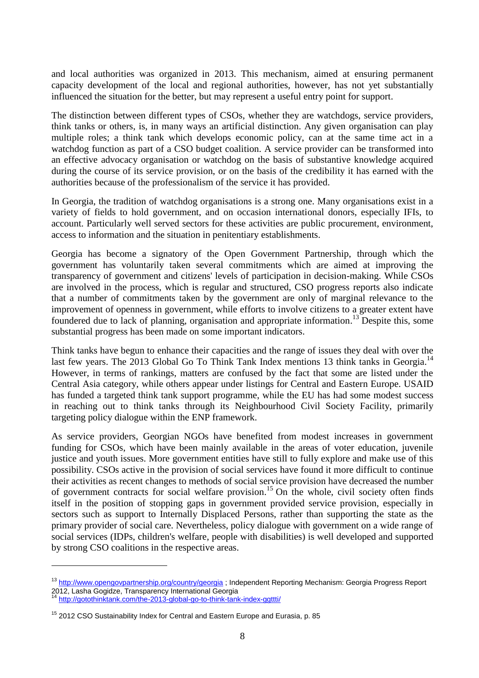and local authorities was organized in 2013. This mechanism, aimed at ensuring permanent capacity development of the local and regional authorities, however, has not yet substantially influenced the situation for the better, but may represent a useful entry point for support.

The distinction between different types of CSOs, whether they are watchdogs, service providers, think tanks or others, is, in many ways an artificial distinction. Any given organisation can play multiple roles; a think tank which develops economic policy, can at the same time act in a watchdog function as part of a CSO budget coalition. A service provider can be transformed into an effective advocacy organisation or watchdog on the basis of substantive knowledge acquired during the course of its service provision, or on the basis of the credibility it has earned with the authorities because of the professionalism of the service it has provided.

In Georgia, the tradition of watchdog organisations is a strong one. Many organisations exist in a variety of fields to hold government, and on occasion international donors, especially IFIs, to account. Particularly well served sectors for these activities are public procurement, environment, access to information and the situation in penitentiary establishments.

Georgia has become a signatory of the Open Government Partnership, through which the government has voluntarily taken several commitments which are aimed at improving the transparency of government and citizens' levels of participation in decision-making. While CSOs are involved in the process, which is regular and structured, CSO progress reports also indicate that a number of commitments taken by the government are only of marginal relevance to the improvement of openness in government, while efforts to involve citizens to a greater extent have foundered due to lack of planning, organisation and appropriate information.<sup>13</sup> Despite this, some substantial progress has been made on some important indicators.

Think tanks have begun to enhance their capacities and the range of issues they deal with over the last few years. The 2013 Global Go To Think Tank Index mentions 13 think tanks in Georgia.<sup>14</sup> However, in terms of rankings, matters are confused by the fact that some are listed under the Central Asia category, while others appear under listings for Central and Eastern Europe. USAID has funded a targeted think tank support programme, while the EU has had some modest success in reaching out to think tanks through its Neighbourhood Civil Society Facility, primarily targeting policy dialogue within the ENP framework.

As service providers, Georgian NGOs have benefited from modest increases in government funding for CSOs, which have been mainly available in the areas of voter education, juvenile justice and youth issues. More government entities have still to fully explore and make use of this possibility. CSOs active in the provision of social services have found it more difficult to continue their activities as recent changes to methods of social service provision have decreased the number of government contracts for social welfare provision. <sup>15</sup> On the whole, civil society often finds itself in the position of stopping gaps in government provided service provision, especially in sectors such as support to Internally Displaced Persons, rather than supporting the state as the primary provider of social care. Nevertheless, policy dialogue with government on a wide range of social services (IDPs, children's welfare, people with disabilities) is well developed and supported by strong CSO coalitions in the respective areas.

<sup>&</sup>lt;sup>13</sup> <http://www.opengovpartnership.org/country/georgia> ; Independent Reporting Mechanism: Georgia Progress Report 2012, Lasha Gogidze, Transparency International Georgia

<sup>14</sup> <http://gotothinktank.com/the-2013-global-go-to-think-tank-index-ggttti/>

<sup>&</sup>lt;sup>15</sup> 2012 CSO Sustainability Index for Central and Eastern Europe and Eurasia, p. 85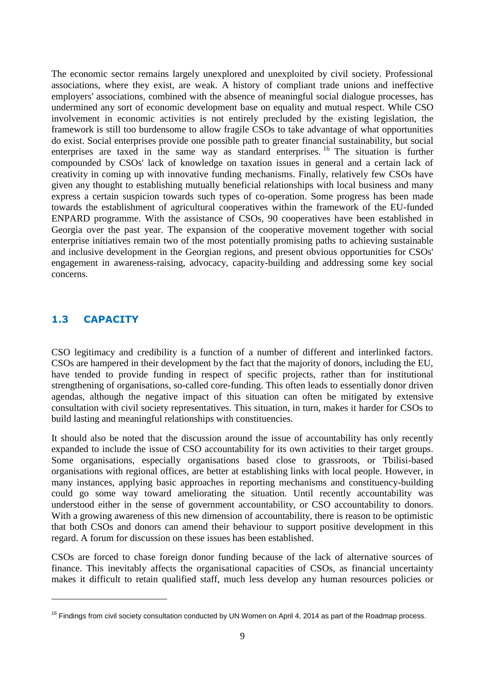The economic sector remains largely unexplored and unexploited by civil society. Professional associations, where they exist, are weak. A history of compliant trade unions and ineffective employers' associations, combined with the absence of meaningful social dialogue processes, has undermined any sort of economic development base on equality and mutual respect. While CSO involvement in economic activities is not entirely precluded by the existing legislation, the framework is still too burdensome to allow fragile CSOs to take advantage of what opportunities do exist. Social enterprises provide one possible path to greater financial sustainability, but social enterprises are taxed in the same way as standard enterprises. <sup>16</sup> The situation is further compounded by CSOs' lack of knowledge on taxation issues in general and a certain lack of creativity in coming up with innovative funding mechanisms. Finally, relatively few CSOs have given any thought to establishing mutually beneficial relationships with local business and many express a certain suspicion towards such types of co-operation. Some progress has been made towards the establishment of agricultural cooperatives within the framework of the EU-funded ENPARD programme. With the assistance of CSOs, 90 cooperatives have been established in Georgia over the past year. The expansion of the cooperative movement together with social enterprise initiatives remain two of the most potentially promising paths to achieving sustainable and inclusive development in the Georgian regions, and present obvious opportunities for CSOs' engagement in awareness-raising, advocacy, capacity-building and addressing some key social concerns.

# **1.3 CAPACITY**

 $\overline{a}$ 

CSO legitimacy and credibility is a function of a number of different and interlinked factors. CSOs are hampered in their development by the fact that the majority of donors, including the EU, have tended to provide funding in respect of specific projects, rather than for institutional strengthening of organisations, so-called core-funding. This often leads to essentially donor driven agendas, although the negative impact of this situation can often be mitigated by extensive consultation with civil society representatives. This situation, in turn, makes it harder for CSOs to build lasting and meaningful relationships with constituencies.

It should also be noted that the discussion around the issue of accountability has only recently expanded to include the issue of CSO accountability for its own activities to their target groups. Some organisations, especially organisations based close to grassroots, or Tbilisi-based organisations with regional offices, are better at establishing links with local people. However, in many instances, applying basic approaches in reporting mechanisms and constituency-building could go some way toward ameliorating the situation. Until recently accountability was understood either in the sense of government accountability, or CSO accountability to donors. With a growing awareness of this new dimension of accountability, there is reason to be optimistic that both CSOs and donors can amend their behaviour to support positive development in this regard. A forum for discussion on these issues has been established.

CSOs are forced to chase foreign donor funding because of the lack of alternative sources of finance. This inevitably affects the organisational capacities of CSOs, as financial uncertainty makes it difficult to retain qualified staff, much less develop any human resources policies or

 $16$  Findings from civil society consultation conducted by UN Women on April 4, 2014 as part of the Roadmap process.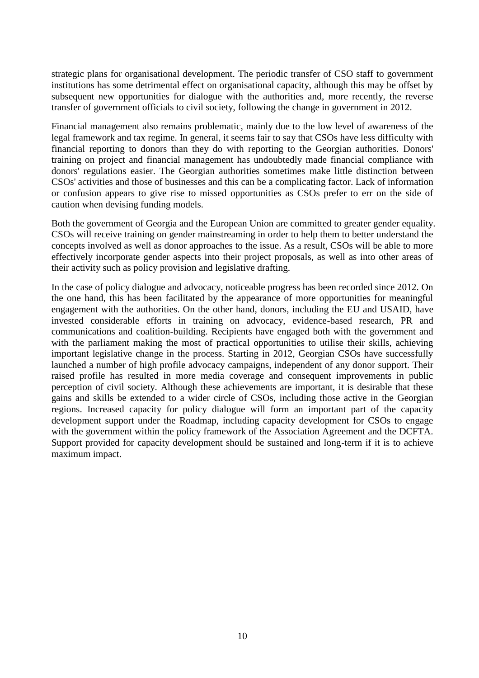strategic plans for organisational development. The periodic transfer of CSO staff to government institutions has some detrimental effect on organisational capacity, although this may be offset by subsequent new opportunities for dialogue with the authorities and, more recently, the reverse transfer of government officials to civil society, following the change in government in 2012.

Financial management also remains problematic, mainly due to the low level of awareness of the legal framework and tax regime. In general, it seems fair to say that CSOs have less difficulty with financial reporting to donors than they do with reporting to the Georgian authorities. Donors' training on project and financial management has undoubtedly made financial compliance with donors' regulations easier. The Georgian authorities sometimes make little distinction between CSOs' activities and those of businesses and this can be a complicating factor. Lack of information or confusion appears to give rise to missed opportunities as CSOs prefer to err on the side of caution when devising funding models.

Both the government of Georgia and the European Union are committed to greater gender equality. CSOs will receive training on gender mainstreaming in order to help them to better understand the concepts involved as well as donor approaches to the issue. As a result, CSOs will be able to more effectively incorporate gender aspects into their project proposals, as well as into other areas of their activity such as policy provision and legislative drafting.

In the case of policy dialogue and advocacy, noticeable progress has been recorded since 2012. On the one hand, this has been facilitated by the appearance of more opportunities for meaningful engagement with the authorities. On the other hand, donors, including the EU and USAID, have invested considerable efforts in training on advocacy, evidence-based research, PR and communications and coalition-building. Recipients have engaged both with the government and with the parliament making the most of practical opportunities to utilise their skills, achieving important legislative change in the process. Starting in 2012, Georgian CSOs have successfully launched a number of high profile advocacy campaigns, independent of any donor support. Their raised profile has resulted in more media coverage and consequent improvements in public perception of civil society. Although these achievements are important, it is desirable that these gains and skills be extended to a wider circle of CSOs, including those active in the Georgian regions. Increased capacity for policy dialogue will form an important part of the capacity development support under the Roadmap, including capacity development for CSOs to engage with the government within the policy framework of the Association Agreement and the DCFTA. Support provided for capacity development should be sustained and long-term if it is to achieve maximum impact.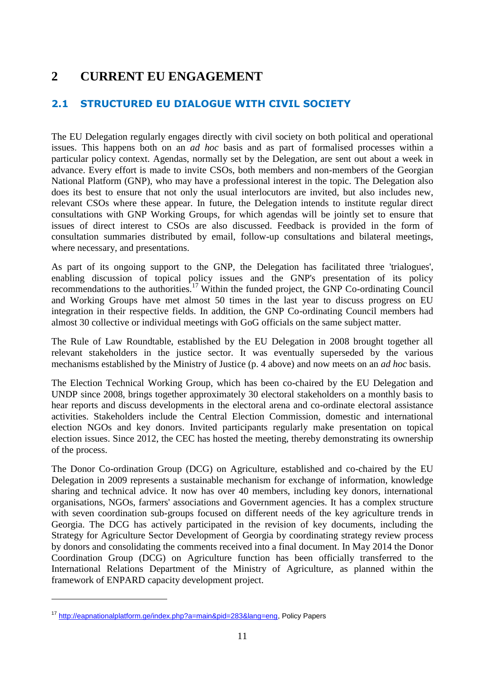# **2 CURRENT EU ENGAGEMENT**

# **2.1 STRUCTURED EU DIALOGUE WITH CIVIL SOCIETY**

The EU Delegation regularly engages directly with civil society on both political and operational issues. This happens both on an *ad hoc* basis and as part of formalised processes within a particular policy context. Agendas, normally set by the Delegation, are sent out about a week in advance. Every effort is made to invite CSOs, both members and non-members of the Georgian National Platform (GNP), who may have a professional interest in the topic. The Delegation also does its best to ensure that not only the usual interlocutors are invited, but also includes new, relevant CSOs where these appear. In future, the Delegation intends to institute regular direct consultations with GNP Working Groups, for which agendas will be jointly set to ensure that issues of direct interest to CSOs are also discussed. Feedback is provided in the form of consultation summaries distributed by email, follow-up consultations and bilateral meetings, where necessary, and presentations.

As part of its ongoing support to the GNP, the Delegation has facilitated three 'trialogues', enabling discussion of topical policy issues and the GNP's presentation of its policy recommendations to the authorities.<sup>17</sup> Within the funded project, the GNP Co-ordinating Council and Working Groups have met almost 50 times in the last year to discuss progress on EU integration in their respective fields. In addition, the GNP Co-ordinating Council members had almost 30 collective or individual meetings with GoG officials on the same subject matter.

The Rule of Law Roundtable, established by the EU Delegation in 2008 brought together all relevant stakeholders in the justice sector. It was eventually superseded by the various mechanisms established by the Ministry of Justice (p. 4 above) and now meets on an *ad hoc* basis.

The Election Technical Working Group, which has been co-chaired by the EU Delegation and UNDP since 2008, brings together approximately 30 electoral stakeholders on a monthly basis to hear reports and discuss developments in the electoral arena and co-ordinate electoral assistance activities. Stakeholders include the Central Election Commission, domestic and international election NGOs and key donors. Invited participants regularly make presentation on topical election issues. Since 2012, the CEC has hosted the meeting, thereby demonstrating its ownership of the process.

The Donor Co-ordination Group (DCG) on Agriculture, established and co-chaired by the EU Delegation in 2009 represents a sustainable mechanism for exchange of information, knowledge sharing and technical advice. It now has over 40 members, including key donors, international organisations, NGOs, farmers' associations and Government agencies. It has a complex structure with seven coordination sub-groups focused on different needs of the key agriculture trends in Georgia. The DCG has actively participated in the revision of key documents, including the Strategy for Agriculture Sector Development of Georgia by coordinating strategy review process by donors and consolidating the comments received into a final document. In May 2014 the Donor Coordination Group (DCG) on Agriculture function has been officially transferred to the International Relations Department of the Ministry of Agriculture, as planned within the framework of ENPARD capacity development project.

<sup>17</sup> [http://eapnationalplatform.ge/index.php?a=main&pid=283&lang=eng,](http://eapnationalplatform.ge/index.php?a=main&pid=283&lang=eng) Policy Papers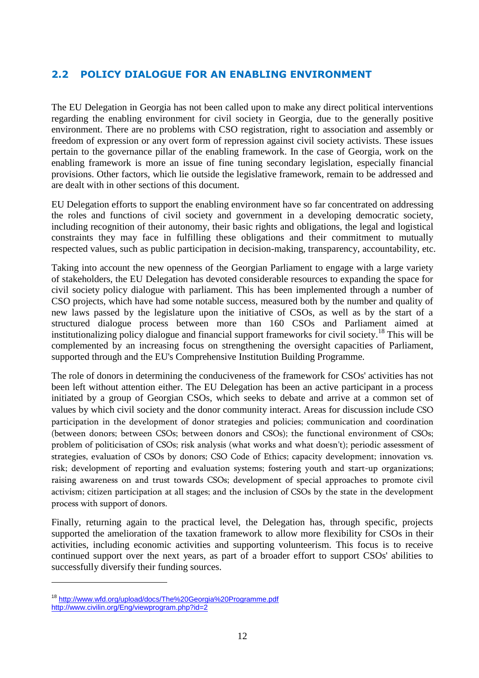# **2.2 POLICY DIALOGUE FOR AN ENABLING ENVIRONMENT**

The EU Delegation in Georgia has not been called upon to make any direct political interventions regarding the enabling environment for civil society in Georgia, due to the generally positive environment. There are no problems with CSO registration, right to association and assembly or freedom of expression or any overt form of repression against civil society activists. These issues pertain to the governance pillar of the enabling framework. In the case of Georgia, work on the enabling framework is more an issue of fine tuning secondary legislation, especially financial provisions. Other factors, which lie outside the legislative framework, remain to be addressed and are dealt with in other sections of this document.

EU Delegation efforts to support the enabling environment have so far concentrated on addressing the roles and functions of civil society and government in a developing democratic society, including recognition of their autonomy, their basic rights and obligations, the legal and logistical constraints they may face in fulfilling these obligations and their commitment to mutually respected values, such as public participation in decision-making, transparency, accountability, etc.

Taking into account the new openness of the Georgian Parliament to engage with a large variety of stakeholders, the EU Delegation has devoted considerable resources to expanding the space for civil society policy dialogue with parliament. This has been implemented through a number of CSO projects, which have had some notable success, measured both by the number and quality of new laws passed by the legislature upon the initiative of CSOs, as well as by the start of a structured dialogue process between more than 160 CSOs and Parliament aimed at institutionalizing policy dialogue and financial support frameworks for civil society. <sup>18</sup> This will be complemented by an increasing focus on strengthening the oversight capacities of Parliament, supported through and the EU's Comprehensive Institution Building Programme.

The role of donors in determining the conduciveness of the framework for CSOs' activities has not been left without attention either. The EU Delegation has been an active participant in a process initiated by a group of Georgian CSOs, which seeks to debate and arrive at a common set of values by which civil society and the donor community interact. Areas for discussion include CSO participation in the development of donor strategies and policies; communication and coordination (between donors; between CSOs; between donors and CSOs); the functional environment of CSOs; problem of politicisation of CSOs; risk analysis (what works and what doesn't); periodic assessment of strategies, evaluation of CSOs by donors; CSO Code of Ethics; capacity development; innovation vs. risk; development of reporting and evaluation systems; fostering youth and start-up organizations; raising awareness on and trust towards CSOs; development of special approaches to promote civil activism; citizen participation at all stages; and the inclusion of CSOs by the state in the development process with support of donors.

Finally, returning again to the practical level, the Delegation has, through specific, projects supported the amelioration of the taxation framework to allow more flexibility for CSOs in their activities, including economic activities and supporting volunteerism. This focus is to receive continued support over the next years, as part of a broader effort to support CSOs' abilities to successfully diversify their funding sources.

<sup>18</sup> <http://www.wfd.org/upload/docs/The%20Georgia%20Programme.pdf> <http://www.civilin.org/Eng/viewprogram.php?id=2>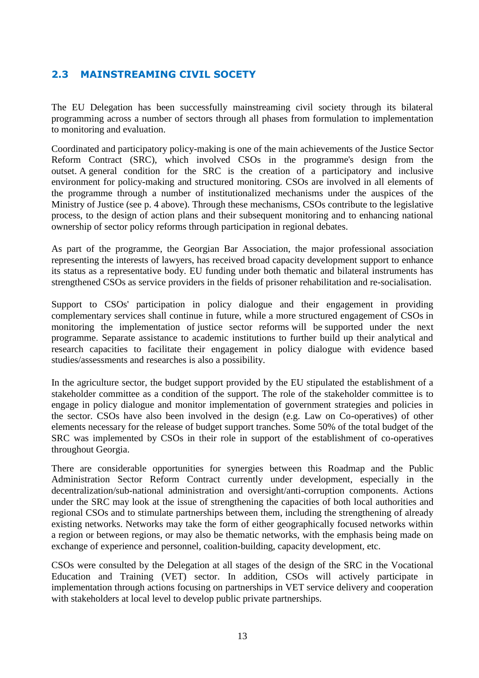# **2.3 MAINSTREAMING CIVIL SOCETY**

The EU Delegation has been successfully mainstreaming civil society through its bilateral programming across a number of sectors through all phases from formulation to implementation to monitoring and evaluation.

Coordinated and participatory policy-making is one of the main achievements of the Justice Sector Reform Contract (SRC), which involved CSOs in the programme's design from the outset. A general condition for the SRC is the creation of a participatory and inclusive environment for policy-making and structured monitoring. CSOs are involved in all elements of the programme through a number of institutionalized mechanisms under the auspices of the Ministry of Justice (see p. 4 above). Through these mechanisms, CSOs contribute to the legislative process, to the design of action plans and their subsequent monitoring and to enhancing national ownership of sector policy reforms through participation in regional debates.

As part of the programme, the Georgian Bar Association, the major professional association representing the interests of lawyers, has received broad capacity development support to enhance its status as a representative body. EU funding under both thematic and bilateral instruments has strengthened CSOs as service providers in the fields of prisoner rehabilitation and re-socialisation.

Support to CSOs' participation in policy dialogue and their engagement in providing complementary services shall continue in future, while a more structured engagement of CSOs in monitoring the implementation of justice sector reforms will be supported under the next programme. Separate assistance to academic institutions to further build up their analytical and research capacities to facilitate their engagement in policy dialogue with evidence based studies/assessments and researches is also a possibility.

In the agriculture sector, the budget support provided by the EU stipulated the establishment of a stakeholder committee as a condition of the support. The role of the stakeholder committee is to engage in policy dialogue and monitor implementation of government strategies and policies in the sector. CSOs have also been involved in the design (e.g. Law on Co-operatives) of other elements necessary for the release of budget support tranches. Some 50% of the total budget of the SRC was implemented by CSOs in their role in support of the establishment of co-operatives throughout Georgia.

There are considerable opportunities for synergies between this Roadmap and the Public Administration Sector Reform Contract currently under development, especially in the decentralization/sub-national administration and oversight/anti-corruption components. Actions under the SRC may look at the issue of strengthening the capacities of both local authorities and regional CSOs and to stimulate partnerships between them, including the strengthening of already existing networks. Networks may take the form of either geographically focused networks within a region or between regions, or may also be thematic networks, with the emphasis being made on exchange of experience and personnel, coalition-building, capacity development, etc.

CSOs were consulted by the Delegation at all stages of the design of the SRC in the Vocational Education and Training (VET) sector. In addition, CSOs will actively participate in implementation through actions focusing on partnerships in VET service delivery and cooperation with stakeholders at local level to develop public private partnerships.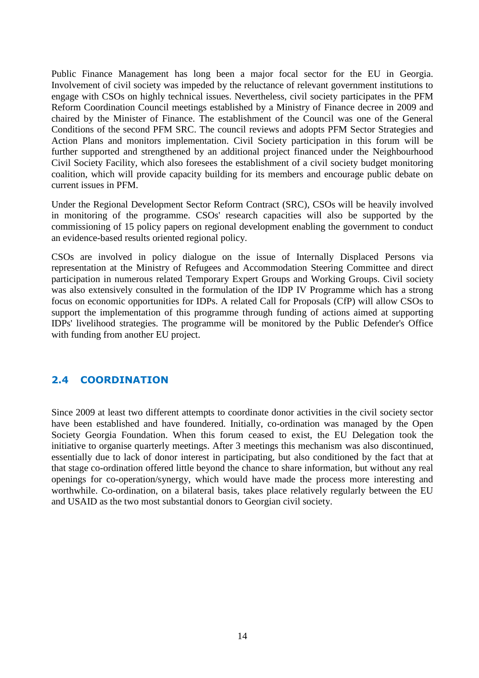Public Finance Management has long been a major focal sector for the EU in Georgia. Involvement of civil society was impeded by the reluctance of relevant government institutions to engage with CSOs on highly technical issues. Nevertheless, civil society participates in the PFM Reform Coordination Council meetings established by a Ministry of Finance decree in 2009 and chaired by the Minister of Finance. The establishment of the Council was one of the General Conditions of the second PFM SRC. The council reviews and adopts PFM Sector Strategies and Action Plans and monitors implementation. Civil Society participation in this forum will be further supported and strengthened by an additional project financed under the Neighbourhood Civil Society Facility, which also foresees the establishment of a civil society budget monitoring coalition, which will provide capacity building for its members and encourage public debate on current issues in PFM.

Under the Regional Development Sector Reform Contract (SRC), CSOs will be heavily involved in monitoring of the programme. CSOs' research capacities will also be supported by the commissioning of 15 policy papers on regional development enabling the government to conduct an evidence-based results oriented regional policy.

CSOs are involved in policy dialogue on the issue of Internally Displaced Persons via representation at the Ministry of Refugees and Accommodation Steering Committee and direct participation in numerous related Temporary Expert Groups and Working Groups. Civil society was also extensively consulted in the formulation of the IDP IV Programme which has a strong focus on economic opportunities for IDPs. A related Call for Proposals (CfP) will allow CSOs to support the implementation of this programme through funding of actions aimed at supporting IDPs' livelihood strategies. The programme will be monitored by the Public Defender's Office with funding from another EU project.

# **2.4 COORDINATION**

Since 2009 at least two different attempts to coordinate donor activities in the civil society sector have been established and have foundered. Initially, co-ordination was managed by the Open Society Georgia Foundation. When this forum ceased to exist, the EU Delegation took the initiative to organise quarterly meetings. After 3 meetings this mechanism was also discontinued, essentially due to lack of donor interest in participating, but also conditioned by the fact that at that stage co-ordination offered little beyond the chance to share information, but without any real openings for co-operation/synergy, which would have made the process more interesting and worthwhile. Co-ordination, on a bilateral basis, takes place relatively regularly between the EU and USAID as the two most substantial donors to Georgian civil society.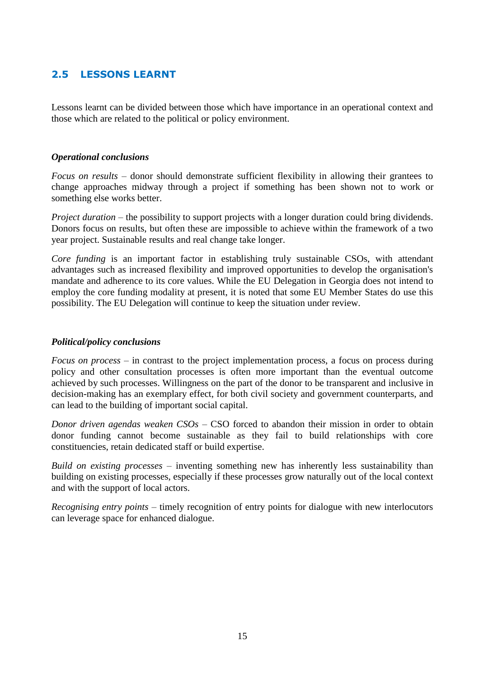# **2.5 LESSONS LEARNT**

Lessons learnt can be divided between those which have importance in an operational context and those which are related to the political or policy environment.

# *Operational conclusions*

*Focus on results* – donor should demonstrate sufficient flexibility in allowing their grantees to change approaches midway through a project if something has been shown not to work or something else works better.

*Project duration* – the possibility to support projects with a longer duration could bring dividends. Donors focus on results, but often these are impossible to achieve within the framework of a two year project. Sustainable results and real change take longer.

*Core funding* is an important factor in establishing truly sustainable CSOs, with attendant advantages such as increased flexibility and improved opportunities to develop the organisation's mandate and adherence to its core values. While the EU Delegation in Georgia does not intend to employ the core funding modality at present, it is noted that some EU Member States do use this possibility. The EU Delegation will continue to keep the situation under review.

# *Political/policy conclusions*

*Focus on process* – in contrast to the project implementation process, a focus on process during policy and other consultation processes is often more important than the eventual outcome achieved by such processes. Willingness on the part of the donor to be transparent and inclusive in decision-making has an exemplary effect, for both civil society and government counterparts, and can lead to the building of important social capital.

*Donor driven agendas weaken CSOs* – CSO forced to abandon their mission in order to obtain donor funding cannot become sustainable as they fail to build relationships with core constituencies, retain dedicated staff or build expertise.

*Build on existing processes* – inventing something new has inherently less sustainability than building on existing processes, especially if these processes grow naturally out of the local context and with the support of local actors.

*Recognising entry points* – timely recognition of entry points for dialogue with new interlocutors can leverage space for enhanced dialogue.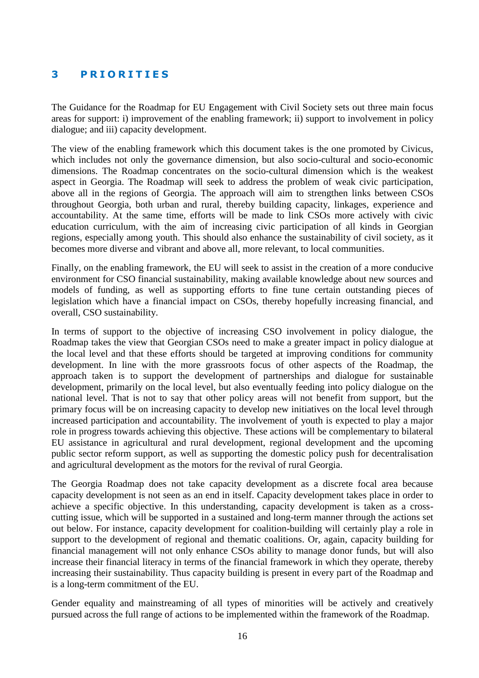# **3 P R I O R I T I E S**

The Guidance for the Roadmap for EU Engagement with Civil Society sets out three main focus areas for support: i) improvement of the enabling framework; ii) support to involvement in policy dialogue; and iii) capacity development.

The view of the enabling framework which this document takes is the one promoted by Civicus, which includes not only the governance dimension, but also socio-cultural and socio-economic dimensions. The Roadmap concentrates on the socio-cultural dimension which is the weakest aspect in Georgia. The Roadmap will seek to address the problem of weak civic participation, above all in the regions of Georgia. The approach will aim to strengthen links between CSOs throughout Georgia, both urban and rural, thereby building capacity, linkages, experience and accountability. At the same time, efforts will be made to link CSOs more actively with civic education curriculum, with the aim of increasing civic participation of all kinds in Georgian regions, especially among youth. This should also enhance the sustainability of civil society, as it becomes more diverse and vibrant and above all, more relevant, to local communities.

Finally, on the enabling framework, the EU will seek to assist in the creation of a more conducive environment for CSO financial sustainability, making available knowledge about new sources and models of funding, as well as supporting efforts to fine tune certain outstanding pieces of legislation which have a financial impact on CSOs, thereby hopefully increasing financial, and overall, CSO sustainability.

In terms of support to the objective of increasing CSO involvement in policy dialogue, the Roadmap takes the view that Georgian CSOs need to make a greater impact in policy dialogue at the local level and that these efforts should be targeted at improving conditions for community development. In line with the more grassroots focus of other aspects of the Roadmap, the approach taken is to support the development of partnerships and dialogue for sustainable development, primarily on the local level, but also eventually feeding into policy dialogue on the national level. That is not to say that other policy areas will not benefit from support, but the primary focus will be on increasing capacity to develop new initiatives on the local level through increased participation and accountability. The involvement of youth is expected to play a major role in progress towards achieving this objective. These actions will be complementary to bilateral EU assistance in agricultural and rural development, regional development and the upcoming public sector reform support, as well as supporting the domestic policy push for decentralisation and agricultural development as the motors for the revival of rural Georgia.

The Georgia Roadmap does not take capacity development as a discrete focal area because capacity development is not seen as an end in itself. Capacity development takes place in order to achieve a specific objective. In this understanding, capacity development is taken as a crosscutting issue, which will be supported in a sustained and long-term manner through the actions set out below. For instance, capacity development for coalition-building will certainly play a role in support to the development of regional and thematic coalitions. Or, again, capacity building for financial management will not only enhance CSOs ability to manage donor funds, but will also increase their financial literacy in terms of the financial framework in which they operate, thereby increasing their sustainability. Thus capacity building is present in every part of the Roadmap and is a long-term commitment of the EU.

Gender equality and mainstreaming of all types of minorities will be actively and creatively pursued across the full range of actions to be implemented within the framework of the Roadmap.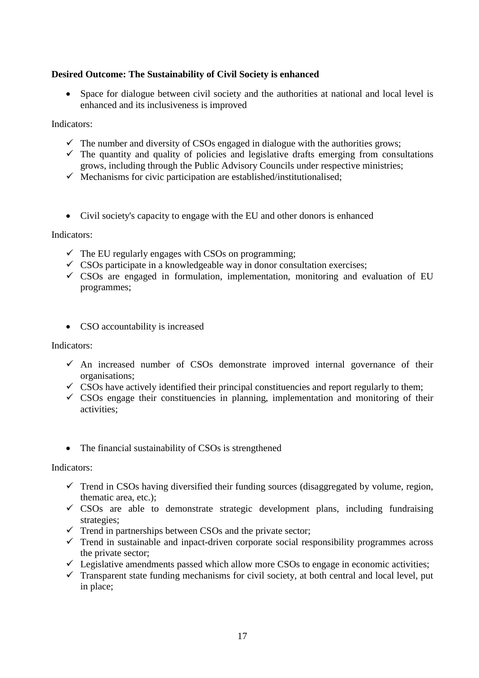# **Desired Outcome: The Sustainability of Civil Society is enhanced**

• Space for dialogue between civil society and the authorities at national and local level is enhanced and its inclusiveness is improved

Indicators:

- $\checkmark$  The number and diversity of CSOs engaged in dialogue with the authorities grows;
- $\checkmark$  The quantity and quality of policies and legislative drafts emerging from consultations grows, including through the Public Advisory Councils under respective ministries;
- $\checkmark$  Mechanisms for civic participation are established/institutionalised;
- Civil society's capacity to engage with the EU and other donors is enhanced

Indicators:

- $\checkmark$  The EU regularly engages with CSOs on programming;
- $\checkmark$  CSOs participate in a knowledgeable way in donor consultation exercises;
- $\checkmark$  CSOs are engaged in formulation, implementation, monitoring and evaluation of EU programmes;
- CSO accountability is increased

Indicators:

- $\checkmark$  An increased number of CSOs demonstrate improved internal governance of their organisations;
- $\checkmark$  CSOs have actively identified their principal constituencies and report regularly to them;
- $\checkmark$  CSOs engage their constituencies in planning, implementation and monitoring of their activities;
- The financial sustainability of CSOs is strengthened

Indicators:

- $\checkmark$  Trend in CSOs having diversified their funding sources (disaggregated by volume, region, thematic area, etc.);
- $\checkmark$  CSOs are able to demonstrate strategic development plans, including fundraising strategies;
- $\checkmark$  Trend in partnerships between CSOs and the private sector;
- $\checkmark$  Trend in sustainable and inpact-driven corporate social responsibility programmes across the private sector;
- $\checkmark$  Legislative amendments passed which allow more CSOs to engage in economic activities;
- $\checkmark$  Transparent state funding mechanisms for civil society, at both central and local level, put in place;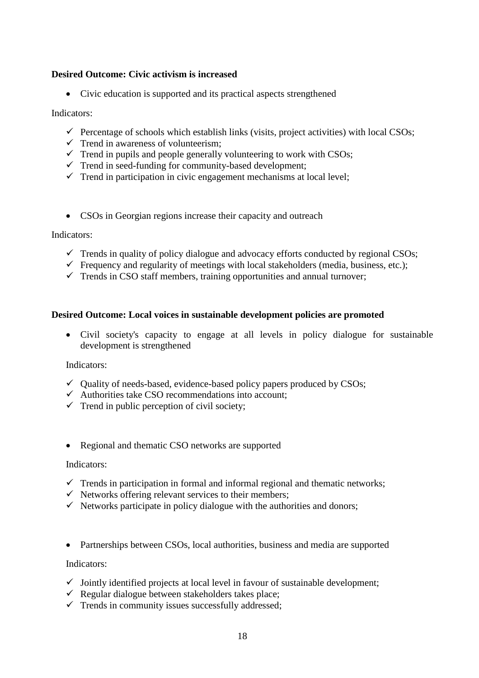# **Desired Outcome: Civic activism is increased**

• Civic education is supported and its practical aspects strengthened

#### Indicators:

- $\checkmark$  Percentage of schools which establish links (visits, project activities) with local CSOs;
- $\checkmark$  Trend in awareness of volunteerism;
- $\checkmark$  Trend in pupils and people generally volunteering to work with CSOs;
- $\checkmark$  Trend in seed-funding for community-based development;
- $\checkmark$  Trend in participation in civic engagement mechanisms at local level;
- CSOs in Georgian regions increase their capacity and outreach

#### Indicators:

- $\checkmark$  Trends in quality of policy dialogue and advocacy efforts conducted by regional CSOs;
- $\checkmark$  Frequency and regularity of meetings with local stakeholders (media, business, etc.);
- $\checkmark$  Trends in CSO staff members, training opportunities and annual turnover;

#### **Desired Outcome: Local voices in sustainable development policies are promoted**

 Civil society's capacity to engage at all levels in policy dialogue for sustainable development is strengthened

#### Indicators:

- $\checkmark$  Quality of needs-based, evidence-based policy papers produced by CSOs;
- $\checkmark$  Authorities take CSO recommendations into account;
- $\checkmark$  Trend in public perception of civil society;
- Regional and thematic CSO networks are supported

#### Indicators:

- $\checkmark$  Trends in participation in formal and informal regional and thematic networks;
- $\checkmark$  Networks offering relevant services to their members;
- $\checkmark$  Networks participate in policy dialogue with the authorities and donors;
- Partnerships between CSOs, local authorities, business and media are supported

#### Indicators:

- $\checkmark$  Jointly identified projects at local level in favour of sustainable development;
- $\checkmark$  Regular dialogue between stakeholders takes place;
- $\checkmark$  Trends in community issues successfully addressed;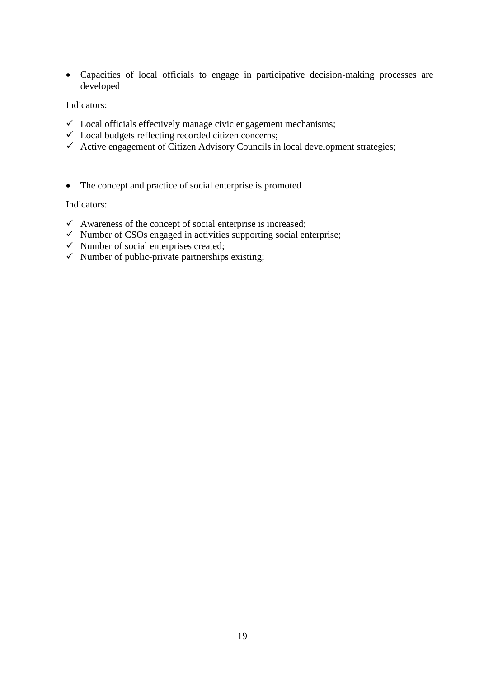Capacities of local officials to engage in participative decision-making processes are developed

Indicators:

- $\checkmark$  Local officials effectively manage civic engagement mechanisms;
- $\checkmark$  Local budgets reflecting recorded citizen concerns;
- $\checkmark$  Active engagement of Citizen Advisory Councils in local development strategies;
- The concept and practice of social enterprise is promoted

Indicators:

- $\checkmark$  Awareness of the concept of social enterprise is increased;
- $\checkmark$  Number of CSOs engaged in activities supporting social enterprise;
- $\checkmark$  Number of social enterprises created;
- $\checkmark$  Number of public-private partnerships existing;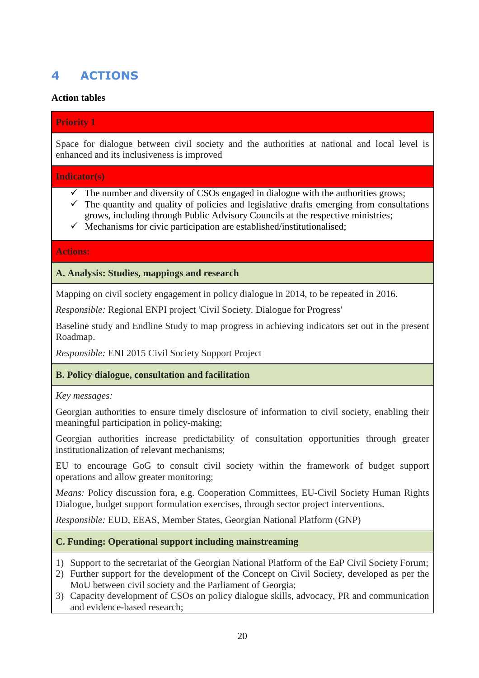# **4 ACTIONS**

# **Action tables**

# **Priority 1**

Space for dialogue between civil society and the authorities at national and local level is enhanced and its inclusiveness is improved

# **Indicator(s)**

- $\checkmark$  The number and diversity of CSOs engaged in dialogue with the authorities grows;
- $\checkmark$  The quantity and quality of policies and legislative drafts emerging from consultations grows, including through Public Advisory Councils at the respective ministries;
- $\checkmark$  Mechanisms for civic participation are established/institutionalised;

# **Actions:**

# **A. Analysis: Studies, mappings and research**

Mapping on civil society engagement in policy dialogue in 2014, to be repeated in 2016.

*Responsible:* Regional ENPI project 'Civil Society. Dialogue for Progress'

Baseline study and Endline Study to map progress in achieving indicators set out in the present Roadmap.

*Responsible:* ENI 2015 Civil Society Support Project

# **B. Policy dialogue, consultation and facilitation**

*Key messages:* 

Georgian authorities to ensure timely disclosure of information to civil society, enabling their meaningful participation in policy-making;

Georgian authorities increase predictability of consultation opportunities through greater institutionalization of relevant mechanisms;

EU to encourage GoG to consult civil society within the framework of budget support operations and allow greater monitoring;

*Means:* Policy discussion fora, e.g. Cooperation Committees, EU-Civil Society Human Rights Dialogue, budget support formulation exercises, through sector project interventions.

*Responsible:* EUD, EEAS, Member States, Georgian National Platform (GNP)

# **C. Funding: Operational support including mainstreaming**

- 1) Support to the secretariat of the Georgian National Platform of the EaP Civil Society Forum;
- 2) Further support for the development of the Concept on Civil Society, developed as per the MoU between civil society and the Parliament of Georgia;
- 3) Capacity development of CSOs on policy dialogue skills, advocacy, PR and communication and evidence-based research;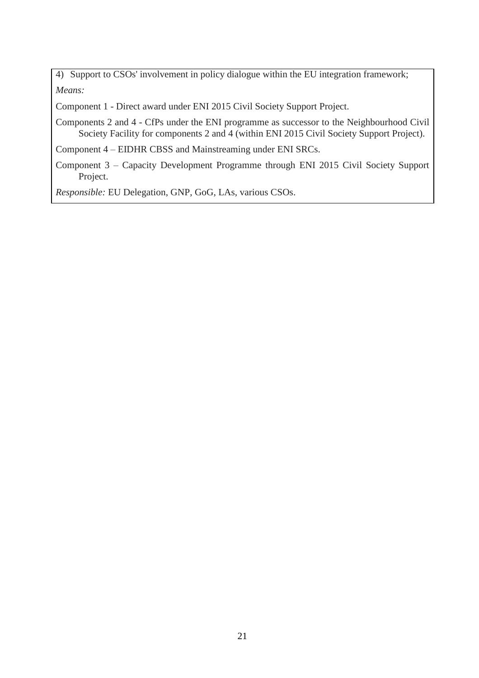4) Support to CSOs' involvement in policy dialogue within the EU integration framework; *Means:* 

Component 1 - Direct award under ENI 2015 Civil Society Support Project.

Components 2 and 4 - CfPs under the ENI programme as successor to the Neighbourhood Civil Society Facility for components 2 and 4 (within ENI 2015 Civil Society Support Project).

Component 4 – EIDHR CBSS and Mainstreaming under ENI SRCs.

Component 3 – Capacity Development Programme through ENI 2015 Civil Society Support Project.

*Responsible:* EU Delegation, GNP, GoG, LAs, various CSOs.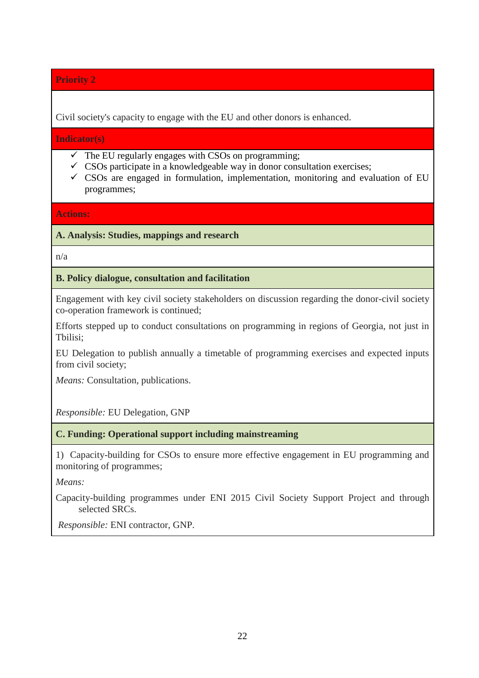Civil society's capacity to engage with the EU and other donors is enhanced.

**Indicator(s)**

- $\checkmark$  The EU regularly engages with CSOs on programming;
- $\checkmark$  CSOs participate in a knowledgeable way in donor consultation exercises;
- $\checkmark$  CSOs are engaged in formulation, implementation, monitoring and evaluation of EU programmes;

**Actions:** 

**A. Analysis: Studies, mappings and research**

n/a

# **B. Policy dialogue, consultation and facilitation**

Engagement with key civil society stakeholders on discussion regarding the donor-civil society co-operation framework is continued;

Efforts stepped up to conduct consultations on programming in regions of Georgia, not just in Tbilisi;

EU Delegation to publish annually a timetable of programming exercises and expected inputs from civil society;

*Means:* Consultation, publications.

*Responsible:* EU Delegation, GNP

**C. Funding: Operational support including mainstreaming**

1) Capacity-building for CSOs to ensure more effective engagement in EU programming and monitoring of programmes;

*Means:* 

Capacity-building programmes under ENI 2015 Civil Society Support Project and through selected SRCs.

*Responsible:* ENI contractor, GNP.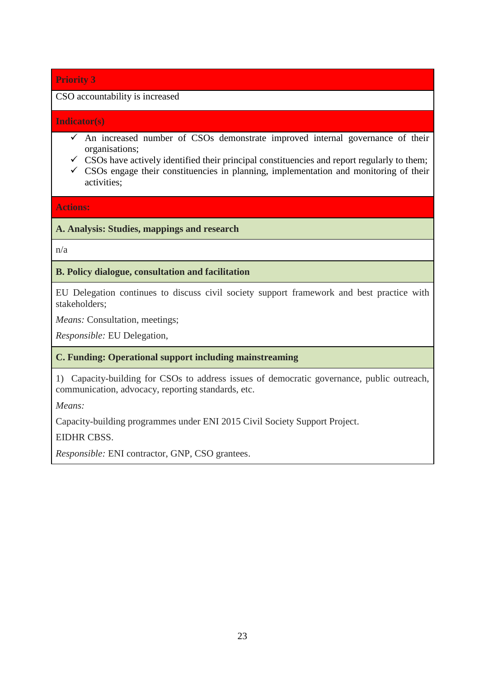# CSO accountability is increased

#### **Indicator(s)**

- $\checkmark$  An increased number of CSOs demonstrate improved internal governance of their organisations;
- $\checkmark$  CSOs have actively identified their principal constituencies and report regularly to them;
- $\checkmark$  CSOs engage their constituencies in planning, implementation and monitoring of their activities;

**Actions:** 

# **A. Analysis: Studies, mappings and research**

n/a

# **B. Policy dialogue, consultation and facilitation**

EU Delegation continues to discuss civil society support framework and best practice with stakeholders;

*Means:* Consultation, meetings;

*Responsible:* EU Delegation,

# **C. Funding: Operational support including mainstreaming**

1) Capacity-building for CSOs to address issues of democratic governance, public outreach, communication, advocacy, reporting standards, etc.

*Means:* 

Capacity-building programmes under ENI 2015 Civil Society Support Project.

EIDHR CBSS.

*Responsible:* ENI contractor, GNP, CSO grantees.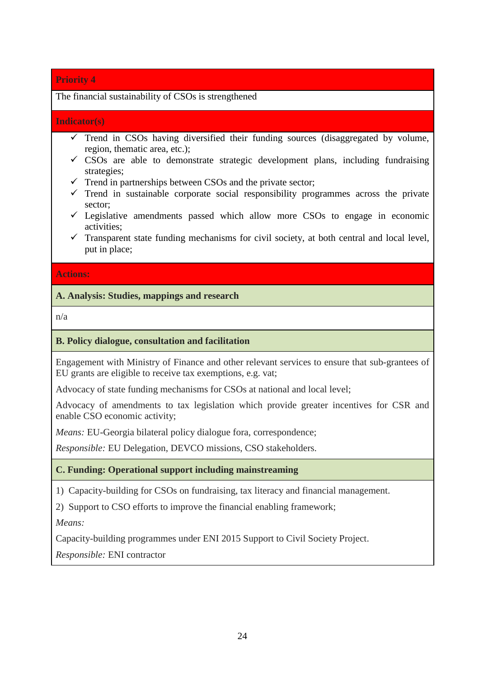#### The financial sustainability of CSOs is strengthened

#### **Indicator(s)**

- $\checkmark$  Trend in CSOs having diversified their funding sources (disaggregated by volume, region, thematic area, etc.);
- $\checkmark$  CSOs are able to demonstrate strategic development plans, including fundraising strategies;
- $\checkmark$  Trend in partnerships between CSOs and the private sector;
- $\checkmark$  Trend in sustainable corporate social responsibility programmes across the private sector;
- $\checkmark$  Legislative amendments passed which allow more CSOs to engage in economic activities;
- $\checkmark$  Transparent state funding mechanisms for civil society, at both central and local level, put in place;

#### **Actions:**

# **A. Analysis: Studies, mappings and research**

n/a

#### **B. Policy dialogue, consultation and facilitation**

Engagement with Ministry of Finance and other relevant services to ensure that sub-grantees of EU grants are eligible to receive tax exemptions, e.g. vat;

Advocacy of state funding mechanisms for CSOs at national and local level;

Advocacy of amendments to tax legislation which provide greater incentives for CSR and enable CSO economic activity;

*Means:* EU-Georgia bilateral policy dialogue fora, correspondence;

*Responsible:* EU Delegation, DEVCO missions, CSO stakeholders.

#### **C. Funding: Operational support including mainstreaming**

1) Capacity-building for CSOs on fundraising, tax literacy and financial management.

2) Support to CSO efforts to improve the financial enabling framework;

*Means:* 

Capacity-building programmes under ENI 2015 Support to Civil Society Project.

*Responsible:* ENI contractor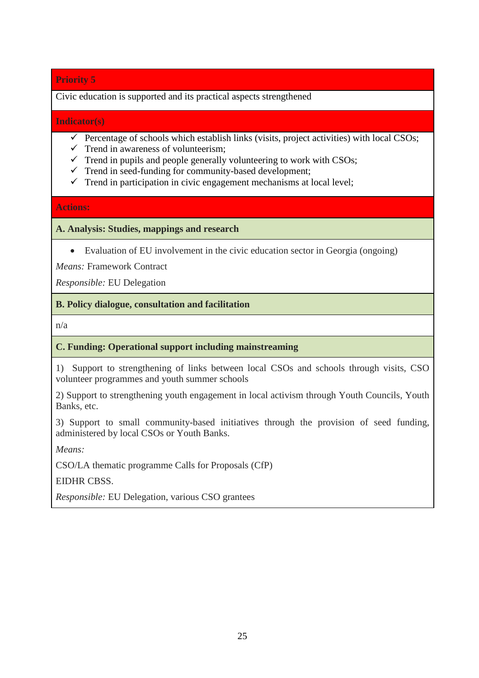Civic education is supported and its practical aspects strengthened

#### **Indicator(s)**

- $\checkmark$  Percentage of schools which establish links (visits, project activities) with local CSOs;
- $\checkmark$  Trend in awareness of volunteerism;
- $\checkmark$  Trend in pupils and people generally volunteering to work with CSOs;
- $\checkmark$  Trend in seed-funding for community-based development;
- $\checkmark$  Trend in participation in civic engagement mechanisms at local level;

# **Actions:**

# **A. Analysis: Studies, mappings and research**

Evaluation of EU involvement in the civic education sector in Georgia (ongoing)

*Means:* Framework Contract

*Responsible:* EU Delegation

# **B. Policy dialogue, consultation and facilitation**

n/a

# **C. Funding: Operational support including mainstreaming**

1) Support to strengthening of links between local CSOs and schools through visits, CSO volunteer programmes and youth summer schools

2) Support to strengthening youth engagement in local activism through Youth Councils, Youth Banks, etc.

3) Support to small community-based initiatives through the provision of seed funding, administered by local CSOs or Youth Banks.

*Means:* 

CSO/LA thematic programme Calls for Proposals (CfP)

EIDHR CBSS.

*Responsible:* EU Delegation, various CSO grantees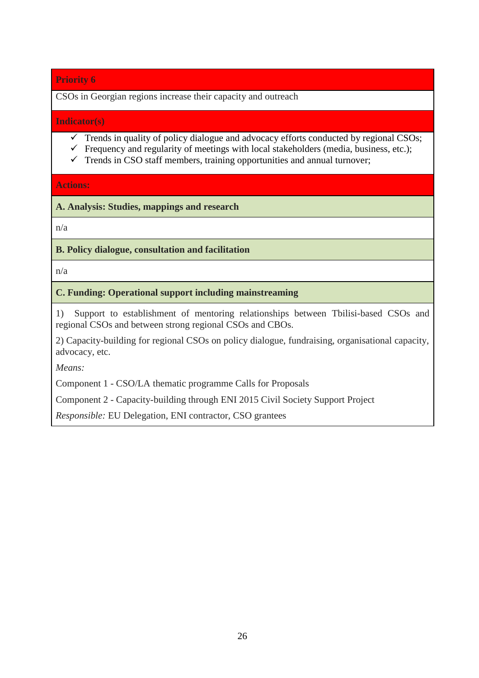CSOs in Georgian regions increase their capacity and outreach

#### **Indicator(s)**

- $\checkmark$  Trends in quality of policy dialogue and advocacy efforts conducted by regional CSOs;
- $\checkmark$  Frequency and regularity of meetings with local stakeholders (media, business, etc.);
- $\checkmark$  Trends in CSO staff members, training opportunities and annual turnover;

# **Actions:**

**A. Analysis: Studies, mappings and research**

n/a

# **B. Policy dialogue, consultation and facilitation**

n/a

# **C. Funding: Operational support including mainstreaming**

1) Support to establishment of mentoring relationships between Tbilisi-based CSOs and regional CSOs and between strong regional CSOs and CBOs.

2) Capacity-building for regional CSOs on policy dialogue, fundraising, organisational capacity, advocacy, etc.

*Means:* 

Component 1 - CSO/LA thematic programme Calls for Proposals

Component 2 - Capacity-building through ENI 2015 Civil Society Support Project

*Responsible:* EU Delegation, ENI contractor, CSO grantees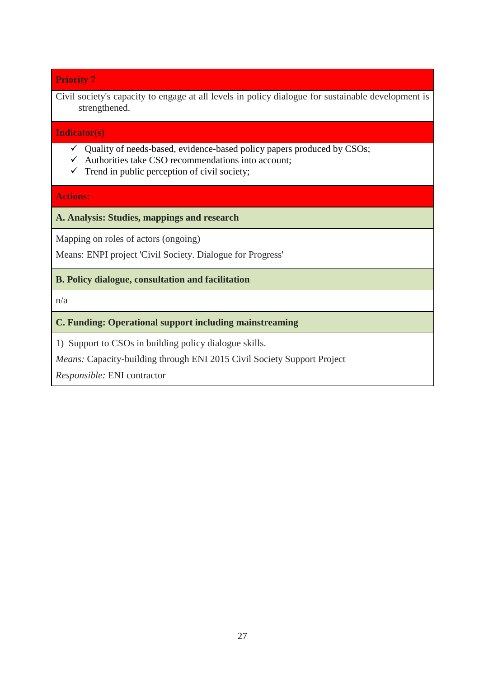Civil society's capacity to engage at all levels in policy dialogue for sustainable development is strengthened.

#### **Indicator(s)**

- $\checkmark$  Quality of needs-based, evidence-based policy papers produced by CSOs;
- $\checkmark$  Authorities take CSO recommendations into account;
- $\checkmark$  Trend in public perception of civil society;

#### **Actions:**

#### **A. Analysis: Studies, mappings and research**

Mapping on roles of actors (ongoing)

Means: ENPI project 'Civil Society. Dialogue for Progress'

# **B. Policy dialogue, consultation and facilitation**

n/a

# **C. Funding: Operational support including mainstreaming**

1) Support to CSOs in building policy dialogue skills.

*Means:* Capacity-building through ENI 2015 Civil Society Support Project

*Responsible:* ENI contractor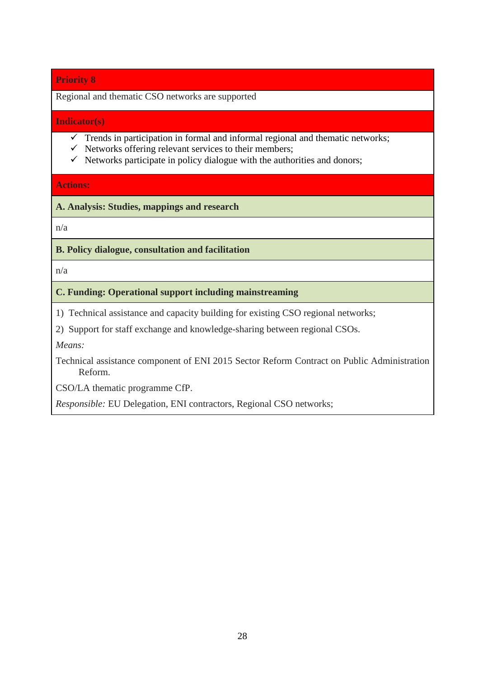Regional and thematic CSO networks are supported

#### **Indicator(s)**

- $\checkmark$  Trends in participation in formal and informal regional and thematic networks;
- $\checkmark$  Networks offering relevant services to their members;
- $\checkmark$  Networks participate in policy dialogue with the authorities and donors;

#### **Actions:**

**A. Analysis: Studies, mappings and research**

n/a

# **B. Policy dialogue, consultation and facilitation**

n/a

# **C. Funding: Operational support including mainstreaming**

1) Technical assistance and capacity building for existing CSO regional networks;

2) Support for staff exchange and knowledge-sharing between regional CSOs.

*Means:* 

Technical assistance component of ENI 2015 Sector Reform Contract on Public Administration Reform.

CSO/LA thematic programme CfP.

*Responsible:* EU Delegation, ENI contractors, Regional CSO networks;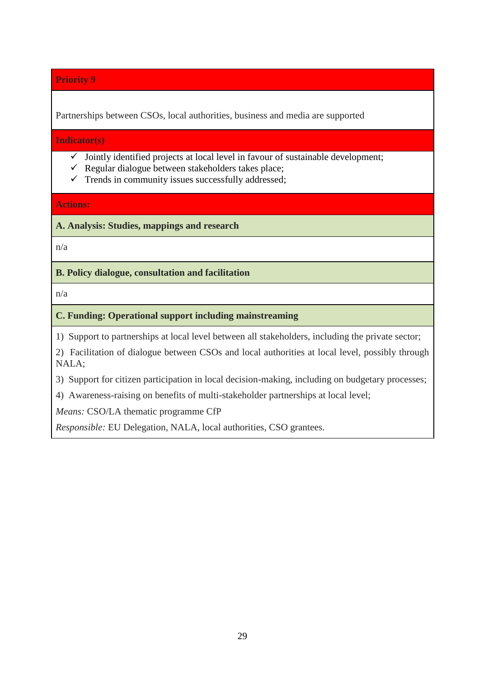Partnerships between CSOs, local authorities, business and media are supported

**Indicator(s)**

- $\checkmark$  Jointly identified projects at local level in favour of sustainable development;
- $\checkmark$  Regular dialogue between stakeholders takes place;
- $\checkmark$  Trends in community issues successfully addressed;

**Actions:** 

**A. Analysis: Studies, mappings and research**

n/a

**B. Policy dialogue, consultation and facilitation**

n/a

# **C. Funding: Operational support including mainstreaming**

1) Support to partnerships at local level between all stakeholders, including the private sector;

2) Facilitation of dialogue between CSOs and local authorities at local level, possibly through NALA;

3) Support for citizen participation in local decision-making, including on budgetary processes;

4) Awareness-raising on benefits of multi-stakeholder partnerships at local level;

*Means:* CSO/LA thematic programme CfP

*Responsible:* EU Delegation, NALA, local authorities, CSO grantees.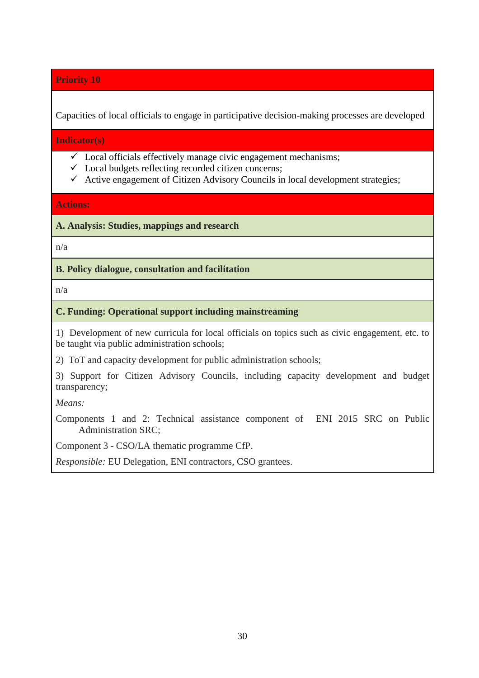Capacities of local officials to engage in participative decision-making processes are developed

**Indicator(s)**

- $\checkmark$  Local officials effectively manage civic engagement mechanisms;
- $\checkmark$  Local budgets reflecting recorded citizen concerns;
- $\checkmark$  Active engagement of Citizen Advisory Councils in local development strategies;

**Actions:** 

**A. Analysis: Studies, mappings and research**

n/a

**B. Policy dialogue, consultation and facilitation**

n/a

#### **C. Funding: Operational support including mainstreaming**

1) Development of new curricula for local officials on topics such as civic engagement, etc. to be taught via public administration schools;

2) ToT and capacity development for public administration schools;

3) Support for Citizen Advisory Councils, including capacity development and budget transparency;

*Means:* 

Components 1 and 2: Technical assistance component of ENI 2015 SRC on Public Administration SRC;

Component 3 - CSO/LA thematic programme CfP.

*Responsible:* EU Delegation, ENI contractors, CSO grantees.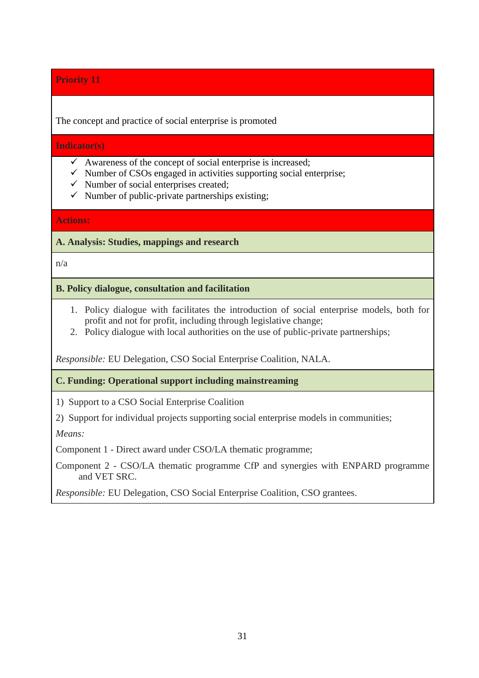The concept and practice of social enterprise is promoted

#### **Indicator(s)**

- $\checkmark$  Awareness of the concept of social enterprise is increased;
- $\checkmark$  Number of CSOs engaged in activities supporting social enterprise;
- $\checkmark$  Number of social enterprises created;
- $\checkmark$  Number of public-private partnerships existing;

# **Actions:**

**A. Analysis: Studies, mappings and research**

n/a

#### **B. Policy dialogue, consultation and facilitation**

- 1. Policy dialogue with facilitates the introduction of social enterprise models, both for profit and not for profit, including through legislative change;
- 2. Policy dialogue with local authorities on the use of public-private partnerships;

*Responsible:* EU Delegation, CSO Social Enterprise Coalition, NALA.

# **C. Funding: Operational support including mainstreaming**

1) Support to a CSO Social Enterprise Coalition

2) Support for individual projects supporting social enterprise models in communities;

*Means:* 

Component 1 - Direct award under CSO/LA thematic programme;

Component 2 - CSO/LA thematic programme CfP and synergies with ENPARD programme and VET SRC.

*Responsible:* EU Delegation, CSO Social Enterprise Coalition, CSO grantees.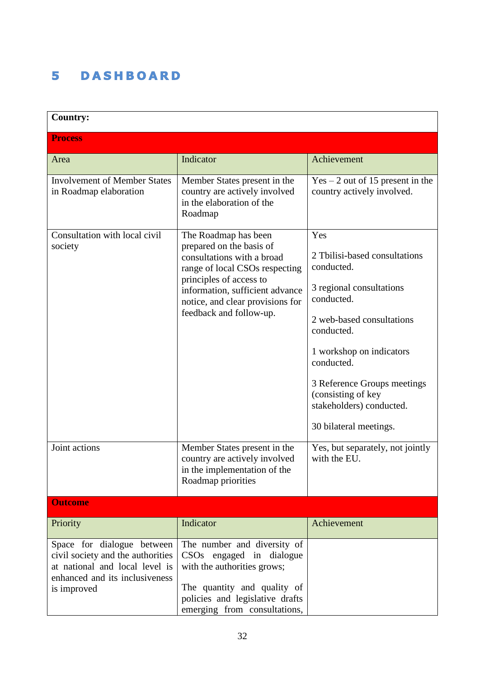#### **DASHBOARD** 5

| <b>Country:</b>                                                                                                                                    |                                                                                                                                                                                                                                               |                                                                                                                                                                                                                                                                                              |  |  |
|----------------------------------------------------------------------------------------------------------------------------------------------------|-----------------------------------------------------------------------------------------------------------------------------------------------------------------------------------------------------------------------------------------------|----------------------------------------------------------------------------------------------------------------------------------------------------------------------------------------------------------------------------------------------------------------------------------------------|--|--|
| <b>Process</b>                                                                                                                                     |                                                                                                                                                                                                                                               |                                                                                                                                                                                                                                                                                              |  |  |
| Area                                                                                                                                               | Indicator                                                                                                                                                                                                                                     | Achievement                                                                                                                                                                                                                                                                                  |  |  |
| <b>Involvement of Member States</b><br>in Roadmap elaboration                                                                                      | Member States present in the<br>country are actively involved<br>in the elaboration of the<br>Roadmap                                                                                                                                         | $Yes - 2 out of 15 present in the$<br>country actively involved.                                                                                                                                                                                                                             |  |  |
| Consultation with local civil<br>society                                                                                                           | The Roadmap has been<br>prepared on the basis of<br>consultations with a broad<br>range of local CSOs respecting<br>principles of access to<br>information, sufficient advance<br>notice, and clear provisions for<br>feedback and follow-up. | Yes<br>2 Tbilisi-based consultations<br>conducted.<br>3 regional consultations<br>conducted.<br>2 web-based consultations<br>conducted.<br>1 workshop on indicators<br>conducted.<br>3 Reference Groups meetings<br>(consisting of key<br>stakeholders) conducted.<br>30 bilateral meetings. |  |  |
| Joint actions                                                                                                                                      | Member States present in the<br>country are actively involved<br>in the implementation of the<br>Roadmap priorities                                                                                                                           | Yes, but separately, not jointly<br>with the EU.                                                                                                                                                                                                                                             |  |  |
| <b>Outcome</b>                                                                                                                                     |                                                                                                                                                                                                                                               |                                                                                                                                                                                                                                                                                              |  |  |
| Priority                                                                                                                                           | Indicator                                                                                                                                                                                                                                     | Achievement                                                                                                                                                                                                                                                                                  |  |  |
| Space for dialogue between<br>civil society and the authorities<br>at national and local level is<br>enhanced and its inclusiveness<br>is improved | The number and diversity of<br>CSO <sub>s</sub> engaged in dialogue<br>with the authorities grows;<br>The quantity and quality of<br>policies and legislative drafts<br>emerging from consultations,                                          |                                                                                                                                                                                                                                                                                              |  |  |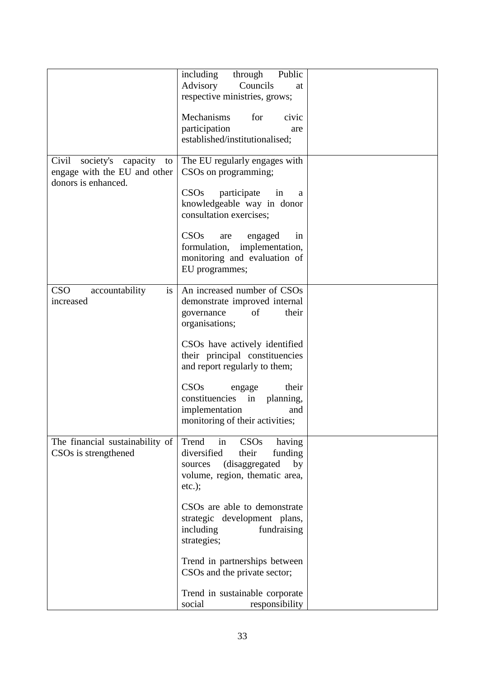|                                                                                          | Public<br>including<br>through                                                                                                                     |  |
|------------------------------------------------------------------------------------------|----------------------------------------------------------------------------------------------------------------------------------------------------|--|
|                                                                                          | Advisory<br>Councils<br>at                                                                                                                         |  |
|                                                                                          | respective ministries, grows;                                                                                                                      |  |
|                                                                                          | Mechanisms<br>for<br>civic                                                                                                                         |  |
|                                                                                          | participation<br>are                                                                                                                               |  |
|                                                                                          | established/institutionalised;                                                                                                                     |  |
| Civil<br>society's capacity<br>to<br>engage with the EU and other<br>donors is enhanced. | The EU regularly engages with<br>CSOs on programming;                                                                                              |  |
|                                                                                          | CSO <sub>s</sub><br>participate<br>in<br>a<br>knowledgeable way in donor<br>consultation exercises;                                                |  |
|                                                                                          | CSOs<br>engaged<br>in<br>are<br>formulation,<br>implementation,<br>monitoring and evaluation of<br>EU programmes;                                  |  |
|                                                                                          |                                                                                                                                                    |  |
| <b>CSO</b><br>is<br>accountability<br>increased                                          | An increased number of CSOs<br>demonstrate improved internal<br>of<br>their<br>governance<br>organisations;                                        |  |
|                                                                                          | CSOs have actively identified<br>their principal constituencies                                                                                    |  |
|                                                                                          | and report regularly to them;                                                                                                                      |  |
|                                                                                          | CSOs<br>their<br>engage<br>constituencies in<br>planning,<br>implementation<br>and<br>monitoring of their activities;                              |  |
| The financial sustainability of<br>CSOs is strengthened                                  | Trend<br>CSOs<br>in<br>having<br>diversified<br>their<br>funding<br>(disaggregated<br>by<br>sources<br>volume, region, thematic area,<br>$etc.$ ); |  |
|                                                                                          | CSO <sub>s</sub> are able to demonstrate<br>strategic development plans,<br>including<br>fundraising<br>strategies;                                |  |
|                                                                                          | Trend in partnerships between<br>CSOs and the private sector;                                                                                      |  |
|                                                                                          | Trend in sustainable corporate<br>social<br>responsibility                                                                                         |  |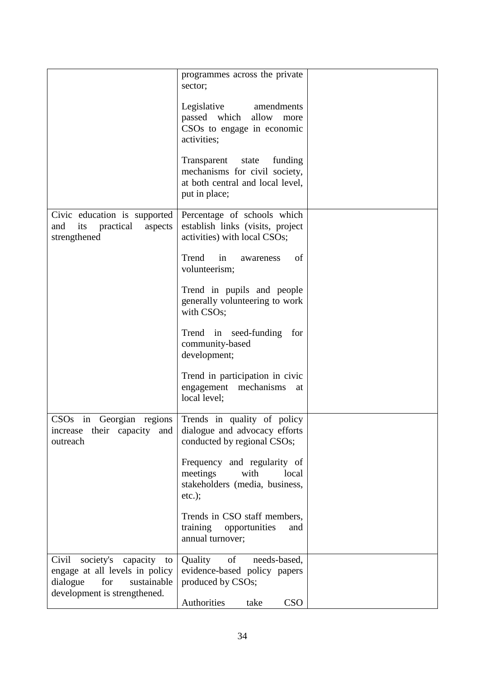|                                                                                                                                          | programmes across the private<br>sector;                                                                              |  |
|------------------------------------------------------------------------------------------------------------------------------------------|-----------------------------------------------------------------------------------------------------------------------|--|
|                                                                                                                                          | Legislative<br>amendments<br>passed which<br>allow<br>more<br>CSOs to engage in economic<br>activities;               |  |
|                                                                                                                                          | Transparent<br>state<br>funding<br>mechanisms for civil society,<br>at both central and local level,<br>put in place; |  |
| Civic education is supported<br>practical<br>its<br>and<br>aspects<br>strengthened                                                       | Percentage of schools which<br>establish links (visits, project<br>activities) with local CSOs;                       |  |
|                                                                                                                                          | Trend<br>in<br>of<br>awareness<br>volunteerism;                                                                       |  |
|                                                                                                                                          | Trend in pupils and people<br>generally volunteering to work<br>with CSOs;                                            |  |
|                                                                                                                                          | Trend in seed-funding<br>for<br>community-based<br>development;                                                       |  |
|                                                                                                                                          | Trend in participation in civic<br>engagement mechanisms<br>at<br>local level;                                        |  |
| in<br>CSOs<br>Georgian<br>regions<br>increase<br>their capacity<br>and<br>outreach                                                       | Trends in quality of policy<br>dialogue and advocacy efforts<br>conducted by regional CSOs;                           |  |
|                                                                                                                                          | Frequency and regularity of<br>meetings<br>with<br>local<br>stakeholders (media, business,<br>$etc.$ );               |  |
|                                                                                                                                          | Trends in CSO staff members,<br>training<br>opportunities<br>and<br>annual turnover;                                  |  |
| Civil<br>society's<br>capacity<br>to<br>engage at all levels in policy<br>dialogue<br>for<br>sustainable<br>development is strengthened. | Quality<br>needs-based,<br>of<br>evidence-based policy papers<br>produced by CSOs;                                    |  |
|                                                                                                                                          | <b>CSO</b><br>Authorities<br>take                                                                                     |  |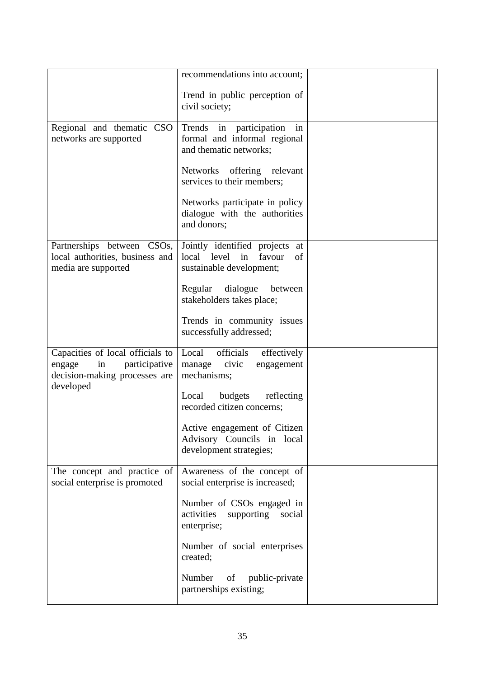|                                                                                                                 | recommendations into account;                                                                   |  |
|-----------------------------------------------------------------------------------------------------------------|-------------------------------------------------------------------------------------------------|--|
|                                                                                                                 | Trend in public perception of<br>civil society;                                                 |  |
| Regional and thematic CSO<br>networks are supported                                                             | Trends in participation<br>in<br>formal and informal regional<br>and thematic networks;         |  |
|                                                                                                                 | Networks offering relevant<br>services to their members;                                        |  |
|                                                                                                                 | Networks participate in policy<br>dialogue with the authorities<br>and donors;                  |  |
| Partnerships between CSOs,<br>local authorities, business and<br>media are supported                            | Jointly identified projects<br>at<br>local level in<br>favour<br>of<br>sustainable development; |  |
|                                                                                                                 | dialogue<br>Regular<br>between<br>stakeholders takes place;                                     |  |
|                                                                                                                 | Trends in community issues<br>successfully addressed;                                           |  |
| Capacities of local officials to<br>participative<br>in<br>engage<br>decision-making processes are<br>developed | Local<br>officials<br>effectively<br>manage civic<br>engagement<br>mechanisms;                  |  |
|                                                                                                                 | Local<br>budgets<br>reflecting<br>recorded citizen concerns;                                    |  |
|                                                                                                                 | Active engagement of Citizen<br>Advisory Councils in local<br>development strategies;           |  |
| The concept and practice of<br>social enterprise is promoted                                                    | Awareness of the concept of<br>social enterprise is increased;                                  |  |
|                                                                                                                 | Number of CSOs engaged in<br>activities<br>supporting<br>social<br>enterprise;                  |  |
|                                                                                                                 | Number of social enterprises<br>created;                                                        |  |
|                                                                                                                 | Number<br>of public-private<br>partnerships existing;                                           |  |